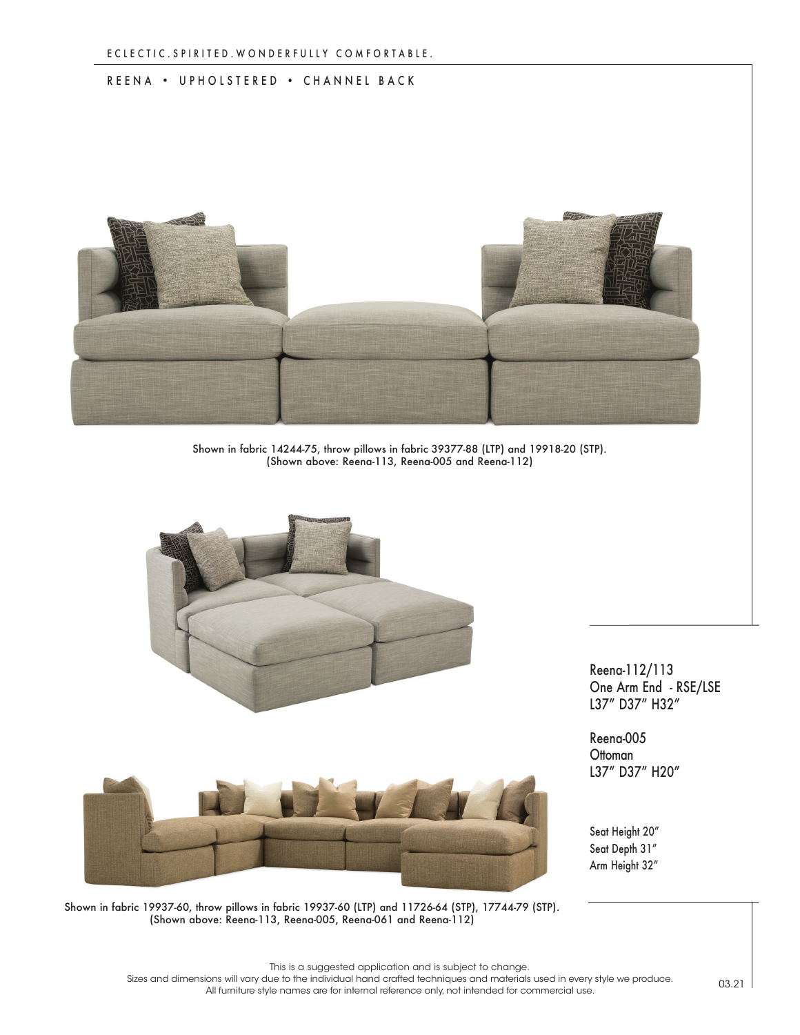## REENA • UPHOLSTERED • CHANNEL BACK



Shown in fabric 14244-75, throw pillows in fabric 39377-88 (LTP) and 19918-20 (STP). (Shown above: Reena-113, Reena-005 and Reena-112)



Reena-112/113 One Arm End - RSE/LSE L37" D37" H32"

Reena-005 **Ottoman** L37" D37" H20"

Seat Height 20" Seat Depth 31" Arm Height 32"

Shown in fabric 19937-60, throw pillows in fabric 19937-60 (LTP) and 11726-64 (STP), 17744-79 (STP). (Shown above: Reena-113, Reena-005, Reena-061 and Reena-112)

This is a suggested application and is subject to change.

Sizes and dimensions will vary due to the individual hand crafted techniques and materials used in every style we produce. All furniture style names are for internal reference only, not intended for commercial use.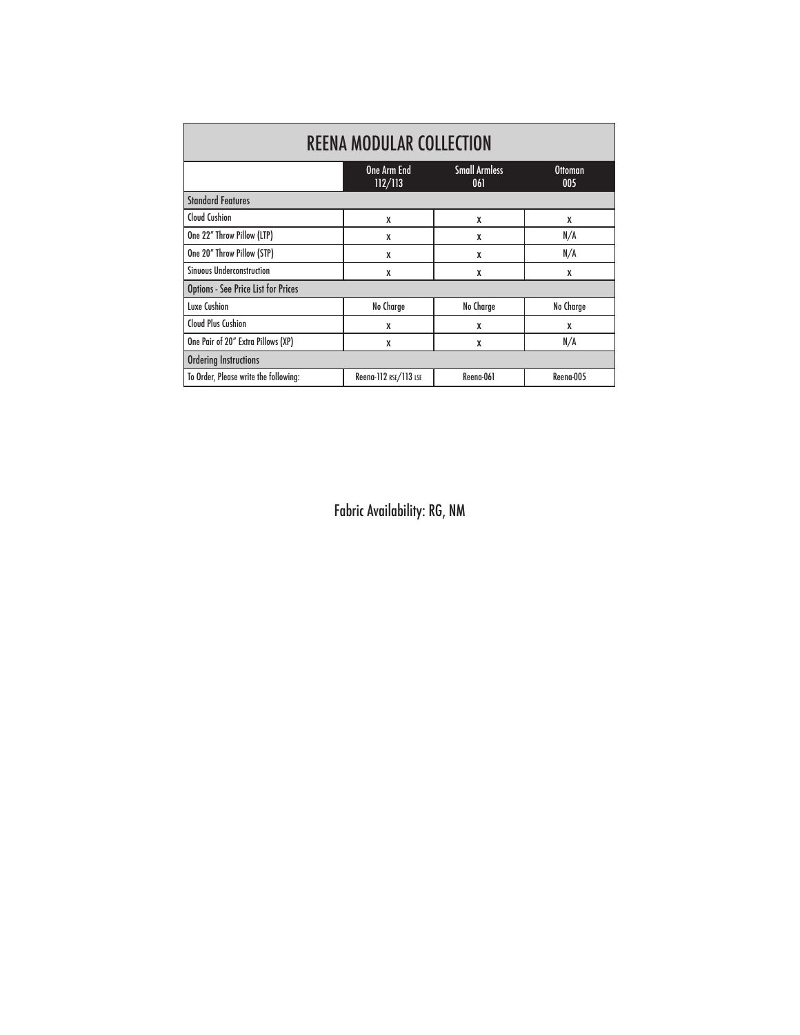| <b>REENA MODULAR COLLECTION</b>            |                        |                             |                       |
|--------------------------------------------|------------------------|-----------------------------|-----------------------|
|                                            | One Arm End<br>112/113 | <b>Small Armless</b><br>061 | <b>Ottoman</b><br>005 |
| <b>Standard Features</b>                   |                        |                             |                       |
| <b>Cloud Cushion</b>                       | X                      | X                           | X                     |
| One 22" Throw Pillow (LTP)                 | X                      | X                           | N/A                   |
| One 20" Throw Pillow (STP)                 | X                      | X                           | N/A                   |
| <b>Sinuous Underconstruction</b>           | X                      | X                           | X                     |
| <b>Options - See Price List for Prices</b> |                        |                             |                       |
| Luxe Cushion                               | No Charge              | No Charge                   | No Charge             |
| <b>Cloud Plus Cushion</b>                  | X                      | X                           | X                     |
| One Pair of 20" Extra Pillows (XP)         | X                      | X                           | N/A                   |
| <b>Ordering Instructions</b>               |                        |                             |                       |
| To Order, Please write the following:      | Reena-112 RSE/113 LSE  | Reena-061                   | Reena-005             |

Fabric Availability: RG, NM